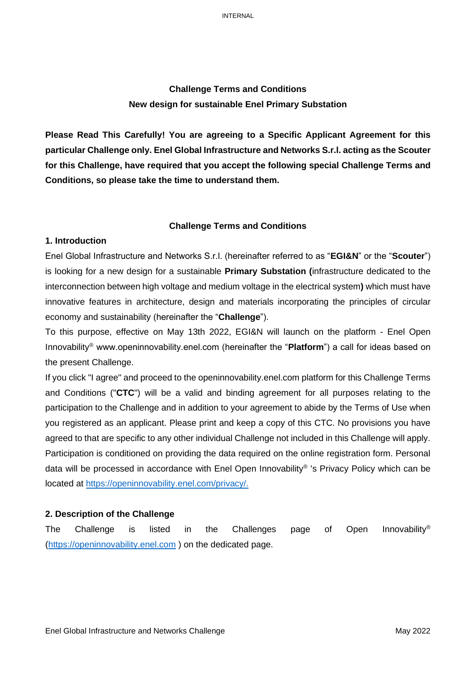# **Challenge Terms and Conditions New design for sustainable Enel Primary Substation**

**Please Read This Carefully! You are agreeing to a Specific Applicant Agreement for this particular Challenge only. Enel Global Infrastructure and Networks S.r.l. acting as the Scouter for this Challenge, have required that you accept the following special Challenge Terms and Conditions, so please take the time to understand them.**

### **Challenge Terms and Conditions**

### **1. Introduction**

Enel Global Infrastructure and Networks S.r.l. (hereinafter referred to as "**EGI&N**" or the "**Scouter**") is looking for a new design for a sustainable **Primary Substation (**infrastructure dedicated to the interconnection between high voltage and medium voltage in the electrical system**)** which must have innovative features in architecture, design and materials incorporating the principles of circular economy and sustainability (hereinafter the "**Challenge**").

To this purpose, effective on May 13th 2022, EGI&N will launch on the platform - Enel Open Innovability® www.openinnovability.enel.com (hereinafter the "**Platform**") a call for ideas based on the present Challenge.

If you click "I agree" and proceed to the openinnovability.enel.com platform for this Challenge Terms and Conditions ("**CTC**") will be a valid and binding agreement for all purposes relating to the participation to the Challenge and in addition to your agreement to abide by the Terms of Use when you registered as an applicant. Please print and keep a copy of this CTC. No provisions you have agreed to that are specific to any other individual Challenge not included in this Challenge will apply. Participation is conditioned on providing the data required on the online registration form. Personal data will be processed in accordance with Enel Open Innovability® 's Privacy Policy which can be located at [https://openinnovability.enel.com/privacy/.](https://openinnovability.enel.com/privacy/)

## **2. Description of the Challenge**

The Challenge is listed in the Challenges page of Open Innovability® [\(https://openinnovability.enel.com](https://openinnovability.enel.com/) ) on the dedicated page.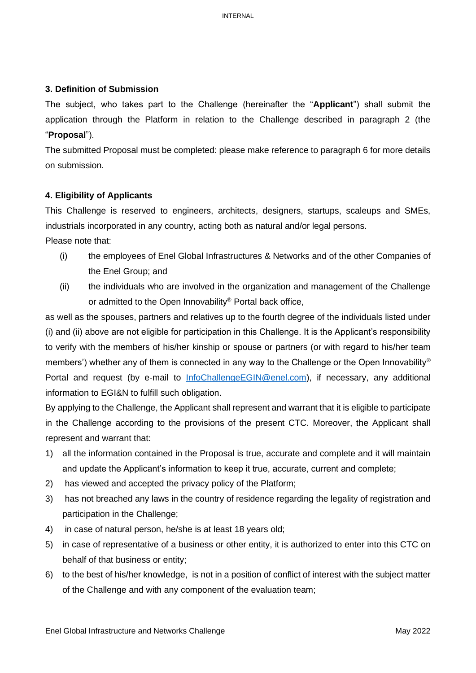## **3. Definition of Submission**

The subject, who takes part to the Challenge (hereinafter the "**Applicant**") shall submit the application through the Platform in relation to the Challenge described in paragraph 2 (the "**Proposal**").

The submitted Proposal must be completed: please make reference to paragraph 6 for more details on submission.

### **4. Eligibility of Applicants**

This Challenge is reserved to engineers, architects, designers, startups, scaleups and SMEs, industrials incorporated in any country, acting both as natural and/or legal persons. Please note that:

- (i) the employees of Enel Global Infrastructures & Networks and of the other Companies of the Enel Group; and
- (ii) the individuals who are involved in the organization and management of the Challenge or admitted to the Open Innovability® Portal back office,

as well as the spouses, partners and relatives up to the fourth degree of the individuals listed under (i) and (ii) above are not eligible for participation in this Challenge. It is the Applicant's responsibility to verify with the members of his/her kinship or spouse or partners (or with regard to his/her team members') whether any of them is connected in any way to the Challenge or the Open Innovability® Portal and request (by e-mail to [InfoChallengeEGIN@enel.com\)](mailto:InfoChallengeEGIN@enel.com), if necessary, any additional information to EGI&N to fulfill such obligation.

By applying to the Challenge, the Applicant shall represent and warrant that it is eligible to participate in the Challenge according to the provisions of the present CTC. Moreover, the Applicant shall represent and warrant that:

- 1) all the information contained in the Proposal is true, accurate and complete and it will maintain and update the Applicant's information to keep it true, accurate, current and complete;
- 2) has viewed and accepted the privacy policy of the Platform;
- 3) has not breached any laws in the country of residence regarding the legality of registration and participation in the Challenge;
- 4) in case of natural person, he/she is at least 18 years old;
- 5) in case of representative of a business or other entity, it is authorized to enter into this CTC on behalf of that business or entity;
- 6) to the best of his/her knowledge, is not in a position of conflict of interest with the subject matter of the Challenge and with any component of the evaluation team;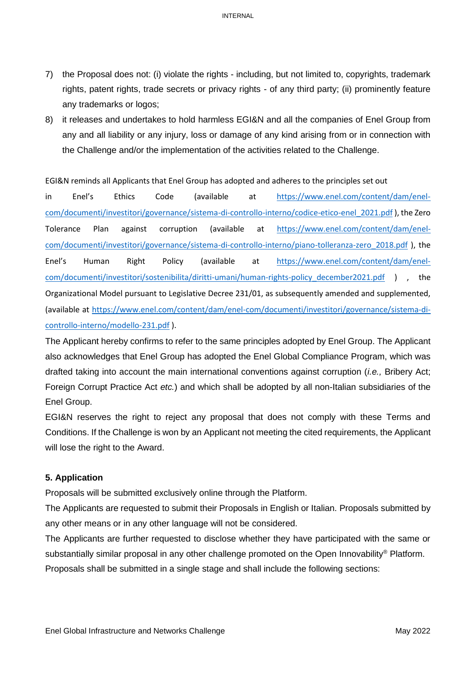- 7) the Proposal does not: (i) violate the rights including, but not limited to, copyrights, trademark rights, patent rights, trade secrets or privacy rights - of any third party; (ii) prominently feature any trademarks or logos;
- 8) it releases and undertakes to hold harmless EGI&N and all the companies of Enel Group from any and all liability or any injury, loss or damage of any kind arising from or in connection with the Challenge and/or the implementation of the activities related to the Challenge.

EGI&N reminds all Applicants that Enel Group has adopted and adheres to the principles set out

in Enel's Ethics Code (available at [https://www.enel.com/content/dam/enel](https://www.enel.com/content/dam/enel-com/documenti/investitori/governance/sistema-di-controllo-interno/codice-etico-enel_2021.pdf)[com/documenti/investitori/governance/sistema-di-controllo-interno/codice-etico-enel\\_2021.pdf](https://www.enel.com/content/dam/enel-com/documenti/investitori/governance/sistema-di-controllo-interno/codice-etico-enel_2021.pdf) ), the Zero Tolerance Plan against corruption (available at [https://www.enel.com/content/dam/enel](https://www.enel.com/content/dam/enel-com/documenti/investitori/governance/sistema-di-controllo-interno/piano-tolleranza-zero_2018.pdf)[com/documenti/investitori/governance/sistema-di-controllo-interno/piano-tolleranza-zero\\_2018.pdf](https://www.enel.com/content/dam/enel-com/documenti/investitori/governance/sistema-di-controllo-interno/piano-tolleranza-zero_2018.pdf) ), the Enel's Human Right Policy (available at [https://www.enel.com/content/dam/enel](https://www.enel.com/content/dam/enel-com/documenti/investitori/sostenibilita/diritti-umani/human-rights-policy_december2021.pdf)[com/documenti/investitori/sostenibilita/diritti-umani/human-rights-policy\\_december2021.pdf](https://www.enel.com/content/dam/enel-com/documenti/investitori/sostenibilita/diritti-umani/human-rights-policy_december2021.pdf) ), the Organizational Model pursuant to Legislative Decree 231/01, as subsequently amended and supplemented, (available at [https://www.enel.com/content/dam/enel-com/documenti/investitori/governance/sistema-di](https://www.enel.com/content/dam/enel-com/documenti/investitori/governance/sistema-di-controllo-interno/modello-231.pdf)[controllo-interno/modello-231.pdf](https://www.enel.com/content/dam/enel-com/documenti/investitori/governance/sistema-di-controllo-interno/modello-231.pdf) ).

The Applicant hereby confirms to refer to the same principles adopted by Enel Group. The Applicant also acknowledges that Enel Group has adopted the Enel Global Compliance Program, which was drafted taking into account the main international conventions against corruption (*i.e.,* Bribery Act; Foreign Corrupt Practice Act *etc.*) and which shall be adopted by all non-Italian subsidiaries of the Enel Group.

EGI&N reserves the right to reject any proposal that does not comply with these Terms and Conditions. If the Challenge is won by an Applicant not meeting the cited requirements, the Applicant will lose the right to the Award.

### **5. Application**

Proposals will be submitted exclusively online through the Platform.

The Applicants are requested to submit their Proposals in English or Italian. Proposals submitted by any other means or in any other language will not be considered.

The Applicants are further requested to disclose whether they have participated with the same or substantially similar proposal in any other challenge promoted on the Open Innovability<sup>®</sup> Platform. Proposals shall be submitted in a single stage and shall include the following sections: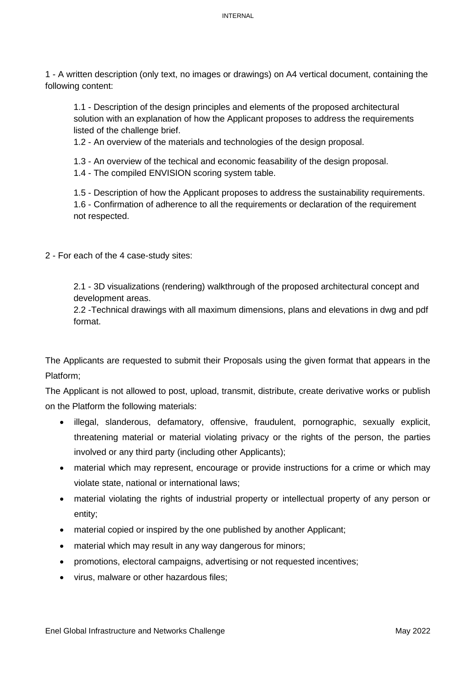1 - A written description (only text, no images or drawings) on A4 vertical document, containing the following content:

1.1 - Description of the design principles and elements of the proposed architectural solution with an explanation of how the Applicant proposes to address the requirements listed of the challenge brief.

1.2 - An overview of the materials and technologies of the design proposal.

1.3 - An overview of the techical and economic feasability of the design proposal.

1.4 - The compiled ENVISION scoring system table.

1.5 - Description of how the Applicant proposes to address the sustainability requirements. 1.6 - Confirmation of adherence to all the requirements or declaration of the requirement not respected.

2 - For each of the 4 case-study sites:

2.1 - 3D visualizations (rendering) walkthrough of the proposed architectural concept and development areas.

2.2 -Technical drawings with all maximum dimensions, plans and elevations in dwg and pdf format.

The Applicants are requested to submit their Proposals using the given format that appears in the Platform;

The Applicant is not allowed to post, upload, transmit, distribute, create derivative works or publish on the Platform the following materials:

- illegal, slanderous, defamatory, offensive, fraudulent, pornographic, sexually explicit, threatening material or material violating privacy or the rights of the person, the parties involved or any third party (including other Applicants);
- material which may represent, encourage or provide instructions for a crime or which may violate state, national or international laws;
- material violating the rights of industrial property or intellectual property of any person or entity;
- material copied or inspired by the one published by another Applicant:
- material which may result in any way dangerous for minors;
- promotions, electoral campaigns, advertising or not requested incentives;
- virus, malware or other hazardous files;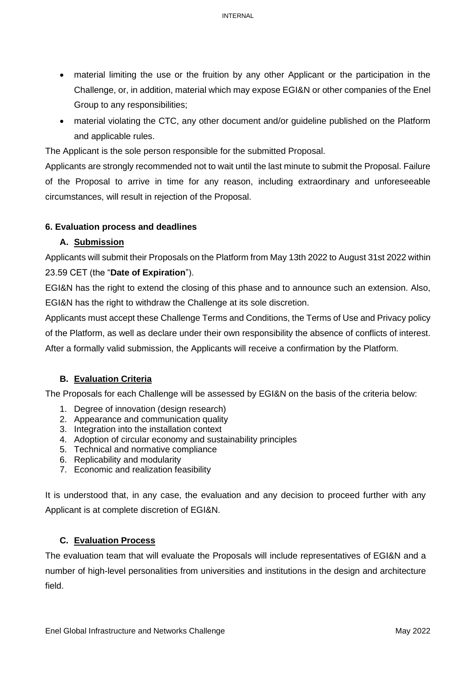- material limiting the use or the fruition by any other Applicant or the participation in the Challenge, or, in addition, material which may expose EGI&N or other companies of the Enel Group to any responsibilities;
- material violating the CTC, any other document and/or guideline published on the Platform and applicable rules.

The Applicant is the sole person responsible for the submitted Proposal.

Applicants are strongly recommended not to wait until the last minute to submit the Proposal. Failure of the Proposal to arrive in time for any reason, including extraordinary and unforeseeable circumstances, will result in rejection of the Proposal.

# **6. Evaluation process and deadlines**

# **A. Submission**

Applicants will submit their Proposals on the Platform from May 13th 2022 to August 31st 2022 within 23.59 CET (the "**Date of Expiration**").

EGI&N has the right to extend the closing of this phase and to announce such an extension. Also, EGI&N has the right to withdraw the Challenge at its sole discretion.

Applicants must accept these Challenge Terms and Conditions, the Terms of Use and Privacy policy of the Platform, as well as declare under their own responsibility the absence of conflicts of interest. After a formally valid submission, the Applicants will receive a confirmation by the Platform.

# **B. Evaluation Criteria**

The Proposals for each Challenge will be assessed by EGI&N on the basis of the criteria below:

- 1. Degree of innovation (design research)
- 2. Appearance and communication quality
- 3. Integration into the installation context
- 4. Adoption of circular economy and sustainability principles
- 5. Technical and normative compliance
- 6. Replicability and modularity
- 7. Economic and realization feasibility

It is understood that, in any case, the evaluation and any decision to proceed further with any Applicant is at complete discretion of EGI&N.

## **C. Evaluation Process**

The evaluation team that will evaluate the Proposals will include representatives of EGI&N and a number of high-level personalities from universities and institutions in the design and architecture field.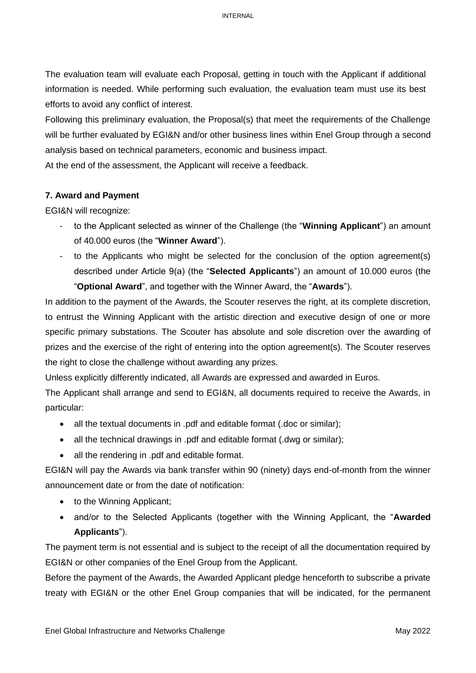The evaluation team will evaluate each Proposal, getting in touch with the Applicant if additional information is needed. While performing such evaluation, the evaluation team must use its best efforts to avoid any conflict of interest.

Following this preliminary evaluation, the Proposal(s) that meet the requirements of the Challenge will be further evaluated by EGI&N and/or other business lines within Enel Group through a second analysis based on technical parameters, economic and business impact.

At the end of the assessment, the Applicant will receive a feedback.

## **7. Award and Payment**

EGI&N will recognize:

- to the Applicant selected as winner of the Challenge (the "**Winning Applicant**") an amount of 40.000 euros (the "**Winner Award**").
- to the Applicants who might be selected for the conclusion of the option agreement(s) described under Article 9(a) (the "**Selected Applicants**") an amount of 10.000 euros (the "**Optional Award**", and together with the Winner Award, the "**Awards**").

In addition to the payment of the Awards, the Scouter reserves the right, at its complete discretion, to entrust the Winning Applicant with the artistic direction and executive design of one or more specific primary substations. The Scouter has absolute and sole discretion over the awarding of prizes and the exercise of the right of entering into the option agreement(s). The Scouter reserves the right to close the challenge without awarding any prizes.

Unless explicitly differently indicated, all Awards are expressed and awarded in Euros.

The Applicant shall arrange and send to EGI&N, all documents required to receive the Awards, in particular:

- all the textual documents in .pdf and editable format (.doc or similar);
- all the technical drawings in .pdf and editable format (.dwg or similar);
- all the rendering in .pdf and editable format.

EGI&N will pay the Awards via bank transfer within 90 (ninety) days end-of-month from the winner announcement date or from the date of notification:

- to the Winning Applicant;
- and/or to the Selected Applicants (together with the Winning Applicant, the "**Awarded Applicants**").

The payment term is not essential and is subject to the receipt of all the documentation required by EGI&N or other companies of the Enel Group from the Applicant.

Before the payment of the Awards, the Awarded Applicant pledge henceforth to subscribe a private treaty with EGI&N or the other Enel Group companies that will be indicated, for the permanent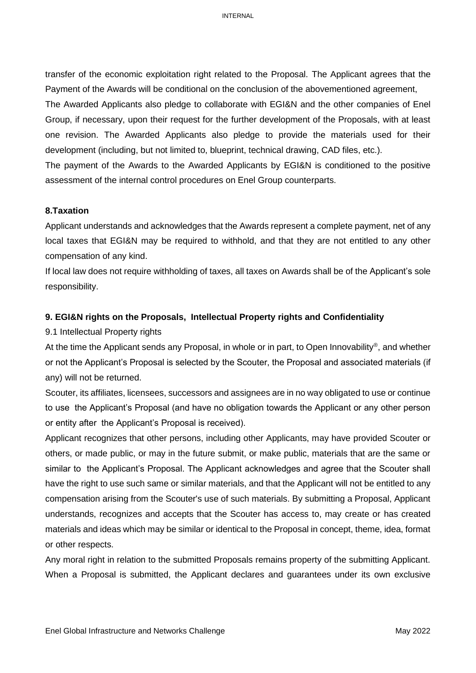transfer of the economic exploitation right related to the Proposal. The Applicant agrees that the Payment of the Awards will be conditional on the conclusion of the abovementioned agreement,

The Awarded Applicants also pledge to collaborate with EGI&N and the other companies of Enel Group, if necessary, upon their request for the further development of the Proposals, with at least one revision. The Awarded Applicants also pledge to provide the materials used for their development (including, but not limited to, blueprint, technical drawing, CAD files, etc.).

The payment of the Awards to the Awarded Applicants by EGI&N is conditioned to the positive assessment of the internal control procedures on Enel Group counterparts.

#### **8.Taxation**

Applicant understands and acknowledges that the Awards represent a complete payment, net of any local taxes that EGI&N may be required to withhold, and that they are not entitled to any other compensation of any kind.

If local law does not require withholding of taxes, all taxes on Awards shall be of the Applicant's sole responsibility.

#### **9. EGI&N rights on the Proposals, Intellectual Property rights and Confidentiality**

#### 9.1 Intellectual Property rights

At the time the Applicant sends any Proposal, in whole or in part, to Open Innovability® , and whether or not the Applicant's Proposal is selected by the Scouter, the Proposal and associated materials (if any) will not be returned.

Scouter, its affiliates, licensees, successors and assignees are in no way obligated to use or continue to use the Applicant's Proposal (and have no obligation towards the Applicant or any other person or entity after the Applicant's Proposal is received).

Applicant recognizes that other persons, including other Applicants, may have provided Scouter or others, or made public, or may in the future submit, or make public, materials that are the same or similar to the Applicant's Proposal. The Applicant acknowledges and agree that the Scouter shall have the right to use such same or similar materials, and that the Applicant will not be entitled to any compensation arising from the Scouter's use of such materials. By submitting a Proposal, Applicant understands, recognizes and accepts that the Scouter has access to, may create or has created materials and ideas which may be similar or identical to the Proposal in concept, theme, idea, format or other respects.

Any moral right in relation to the submitted Proposals remains property of the submitting Applicant. When a Proposal is submitted, the Applicant declares and guarantees under its own exclusive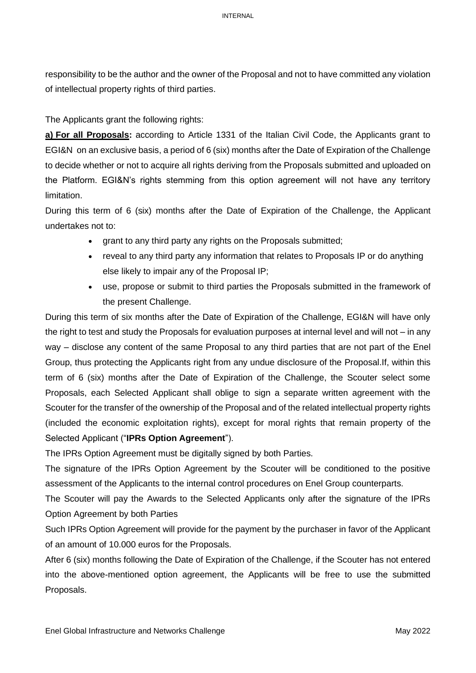INTERNAL

responsibility to be the author and the owner of the Proposal and not to have committed any violation of intellectual property rights of third parties.

The Applicants grant the following rights:

**a) For all Proposals:** according to Article 1331 of the Italian Civil Code, the Applicants grant to EGI&N on an exclusive basis, a period of 6 (six) months after the Date of Expiration of the Challenge to decide whether or not to acquire all rights deriving from the Proposals submitted and uploaded on the Platform. EGI&N's rights stemming from this option agreement will not have any territory limitation.

During this term of 6 (six) months after the Date of Expiration of the Challenge, the Applicant undertakes not to:

- grant to any third party any rights on the Proposals submitted;
- reveal to any third party any information that relates to Proposals IP or do anything else likely to impair any of the Proposal IP;
- use, propose or submit to third parties the Proposals submitted in the framework of the present Challenge.

During this term of six months after the Date of Expiration of the Challenge, EGI&N will have only the right to test and study the Proposals for evaluation purposes at internal level and will not – in any way – disclose any content of the same Proposal to any third parties that are not part of the Enel Group, thus protecting the Applicants right from any undue disclosure of the Proposal.If, within this term of 6 (six) months after the Date of Expiration of the Challenge, the Scouter select some Proposals, each Selected Applicant shall oblige to sign a separate written agreement with the Scouter for the transfer of the ownership of the Proposal and of the related intellectual property rights (included the economic exploitation rights), except for moral rights that remain property of the Selected Applicant ("**IPRs Option Agreement**").

The IPRs Option Agreement must be digitally signed by both Parties.

The signature of the IPRs Option Agreement by the Scouter will be conditioned to the positive assessment of the Applicants to the internal control procedures on Enel Group counterparts.

The Scouter will pay the Awards to the Selected Applicants only after the signature of the IPRs Option Agreement by both Parties

Such IPRs Option Agreement will provide for the payment by the purchaser in favor of the Applicant of an amount of 10.000 euros for the Proposals.

After 6 (six) months following the Date of Expiration of the Challenge, if the Scouter has not entered into the above-mentioned option agreement, the Applicants will be free to use the submitted Proposals.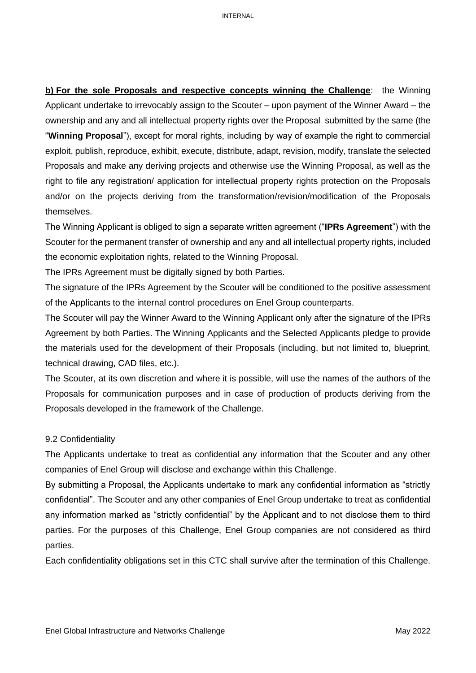**b) For the sole Proposals and respective concepts winning the Challenge**: the Winning Applicant undertake to irrevocably assign to the Scouter – upon payment of the Winner Award – the ownership and any and all intellectual property rights over the Proposal submitted by the same (the "**Winning Proposal**"), except for moral rights, including by way of example the right to commercial exploit, publish, reproduce, exhibit, execute, distribute, adapt, revision, modify, translate the selected Proposals and make any deriving projects and otherwise use the Winning Proposal, as well as the right to file any registration/ application for intellectual property rights protection on the Proposals and/or on the projects deriving from the transformation/revision/modification of the Proposals themselves.

The Winning Applicant is obliged to sign a separate written agreement ("**IPRs Agreement**") with the Scouter for the permanent transfer of ownership and any and all intellectual property rights, included the economic exploitation rights, related to the Winning Proposal.

The IPRs Agreement must be digitally signed by both Parties.

The signature of the IPRs Agreement by the Scouter will be conditioned to the positive assessment of the Applicants to the internal control procedures on Enel Group counterparts.

The Scouter will pay the Winner Award to the Winning Applicant only after the signature of the IPRs Agreement by both Parties. The Winning Applicants and the Selected Applicants pledge to provide the materials used for the development of their Proposals (including, but not limited to, blueprint, technical drawing, CAD files, etc.).

The Scouter, at its own discretion and where it is possible, will use the names of the authors of the Proposals for communication purposes and in case of production of products deriving from the Proposals developed in the framework of the Challenge.

### 9.2 Confidentiality

The Applicants undertake to treat as confidential any information that the Scouter and any other companies of Enel Group will disclose and exchange within this Challenge.

By submitting a Proposal, the Applicants undertake to mark any confidential information as "strictly confidential". The Scouter and any other companies of Enel Group undertake to treat as confidential any information marked as "strictly confidential" by the Applicant and to not disclose them to third parties. For the purposes of this Challenge, Enel Group companies are not considered as third parties.

Each confidentiality obligations set in this CTC shall survive after the termination of this Challenge.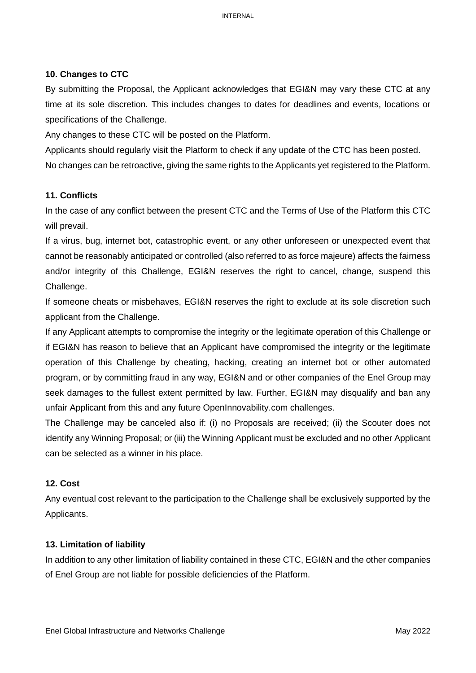# **10. Changes to CTC**

By submitting the Proposal, the Applicant acknowledges that EGI&N may vary these CTC at any time at its sole discretion. This includes changes to dates for deadlines and events, locations or specifications of the Challenge.

Any changes to these CTC will be posted on the Platform.

Applicants should regularly visit the Platform to check if any update of the CTC has been posted. No changes can be retroactive, giving the same rights to the Applicants yet registered to the Platform.

# **11. Conflicts**

In the case of any conflict between the present CTC and the Terms of Use of the Platform this CTC will prevail.

If a virus, bug, internet bot, catastrophic event, or any other unforeseen or unexpected event that cannot be reasonably anticipated or controlled (also referred to as force majeure) affects the fairness and/or integrity of this Challenge, EGI&N reserves the right to cancel, change, suspend this Challenge.

If someone cheats or misbehaves, EGI&N reserves the right to exclude at its sole discretion such applicant from the Challenge.

If any Applicant attempts to compromise the integrity or the legitimate operation of this Challenge or if EGI&N has reason to believe that an Applicant have compromised the integrity or the legitimate operation of this Challenge by cheating, hacking, creating an internet bot or other automated program, or by committing fraud in any way, EGI&N and or other companies of the Enel Group may seek damages to the fullest extent permitted by law. Further, EGI&N may disqualify and ban any unfair Applicant from this and any future OpenInnovability.com challenges.

The Challenge may be canceled also if: (i) no Proposals are received; (ii) the Scouter does not identify any Winning Proposal; or (iii) the Winning Applicant must be excluded and no other Applicant can be selected as a winner in his place.

# **12. Cost**

Any eventual cost relevant to the participation to the Challenge shall be exclusively supported by the Applicants.

## **13. Limitation of liability**

In addition to any other limitation of liability contained in these CTC, EGI&N and the other companies of Enel Group are not liable for possible deficiencies of the Platform.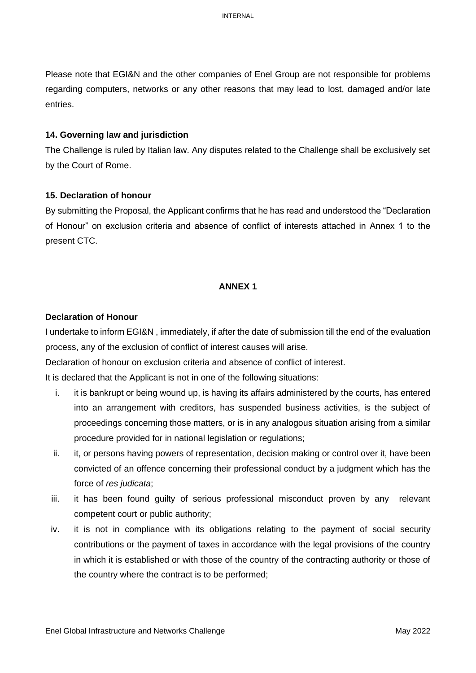INTERNAL

Please note that EGI&N and the other companies of Enel Group are not responsible for problems regarding computers, networks or any other reasons that may lead to lost, damaged and/or late entries.

### **14. Governing law and jurisdiction**

The Challenge is ruled by Italian law. Any disputes related to the Challenge shall be exclusively set by the Court of Rome.

### **15. Declaration of honour**

By submitting the Proposal, the Applicant confirms that he has read and understood the "Declaration of Honour" on exclusion criteria and absence of conflict of interests attached in Annex 1 to the present CTC.

## **ANNEX 1**

### **Declaration of Honour**

I undertake to inform EGI&N , immediately, if after the date of submission till the end of the evaluation process, any of the exclusion of conflict of interest causes will arise.

Declaration of honour on exclusion criteria and absence of conflict of interest.

It is declared that the Applicant is not in one of the following situations:

- i. it is bankrupt or being wound up, is having its affairs administered by the courts, has entered into an arrangement with creditors, has suspended business activities, is the subject of proceedings concerning those matters, or is in any analogous situation arising from a similar procedure provided for in national legislation or regulations;
- ii. it, or persons having powers of representation, decision making or control over it, have been convicted of an offence concerning their professional conduct by a judgment which has the force of *res judicata*;
- iii. it has been found guilty of serious professional misconduct proven by any relevant competent court or public authority;
- iv. it is not in compliance with its obligations relating to the payment of social security contributions or the payment of taxes in accordance with the legal provisions of the country in which it is established or with those of the country of the contracting authority or those of the country where the contract is to be performed;